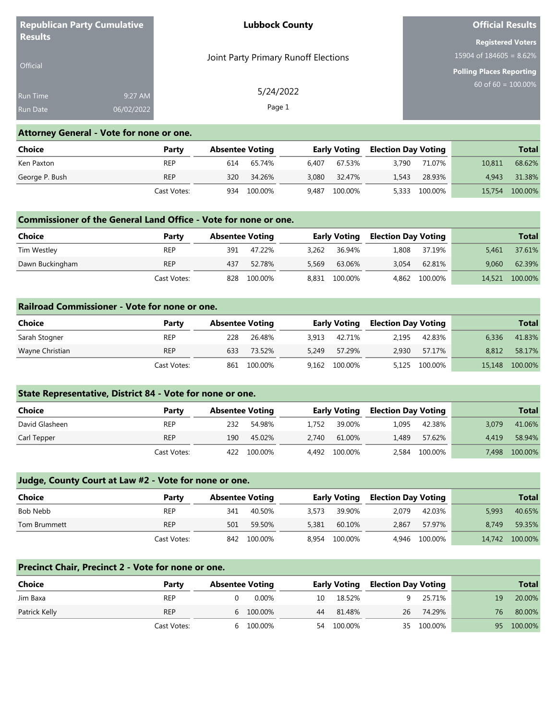| <b>Republican Party Cumulative</b> |            | <b>Lubbock County</b>                | <b>Official Results</b>         |
|------------------------------------|------------|--------------------------------------|---------------------------------|
| <b>Results</b>                     |            |                                      | <b>Registered Voters</b>        |
|                                    |            | Joint Party Primary Runoff Elections | $15904$ of 184605 = 8.62%       |
| <b>Official</b>                    |            |                                      | <b>Polling Places Reporting</b> |
| Run Time                           | 9:27 AM    | 5/24/2022                            | $60$ of 60 = 100.00%            |
| Run Date                           | 06/02/2022 | Page 1                               |                                 |

# **Attorney General - Vote for none or one.**

| Choice         | Party       | <b>Absentee Voting</b> |         |       | <b>Early Voting</b> |       | Election Day Voting |        | Total   |
|----------------|-------------|------------------------|---------|-------|---------------------|-------|---------------------|--------|---------|
| Ken Paxton     | <b>REP</b>  | 614                    | 65.74%  | 6.407 | 67.53%              | 3.790 | 71.07%              | 10.811 | 68.62%  |
| George P. Bush | <b>REP</b>  | 320                    | 34.26%  | 3.080 | 32.47%              | 1.543 | 28.93%              | 4.943  | 31.38%  |
|                | Cast Votes: | 934                    | 100.00% | 9.487 | 100.00%             | 5,333 | 100.00%             | 15,754 | 100.00% |

## **Commissioner of the General Land Office - Vote for none or one.**

| <b>Choice</b>   | Party       | <b>Absentee Voting</b> |             |       | Early Voting  |       | <b>Election Day Voting</b> |        | Total   |
|-----------------|-------------|------------------------|-------------|-------|---------------|-------|----------------------------|--------|---------|
| Tim Westley     | <b>REP</b>  | 391                    | 47.22%      |       | 3.262 36.94%  | 1,808 | 37.19%                     | 5.461  | 37.61%  |
| Dawn Buckingham | <b>REP</b>  | 437                    | 52.78%      | 5.569 | 63.06%        | 3.054 | 62.81%                     | 9.060  | 62.39%  |
|                 | Cast Votes: |                        | 828 100.00% |       | 8,831 100.00% |       | 4.862 100.00%              | 14,521 | 100.00% |

## **Railroad Commissioner - Vote for none or one.**

| Choice          | Party       | <b>Absentee Voting</b> |         |       | <b>Early Voting</b> |       | <b>Election Day Voting</b> |        | <b>Total</b> |
|-----------------|-------------|------------------------|---------|-------|---------------------|-------|----------------------------|--------|--------------|
| Sarah Stogner   | REP         | 228                    | 26.48%  |       | 3.913 42.71%        | 2.195 | 42.83%                     | 6.336  | 41.83%       |
| Wayne Christian | <b>REP</b>  | 633                    | 73.52%  | 5.249 | 57.29%              | 2.930 | 57.17%                     | 8.812  | 58.17%       |
|                 | Cast Votes: | 861                    | 100.00% |       | 9,162 100.00%       |       | 5,125 100.00%              | 15,148 | 100.00%      |

# **State Representative, District 84 - Vote for none or one.**

| Choice         | Party       | <b>Absentee Voting</b> |             |       | <b>Early Voting</b> |       | Election Day Voting |       | <b>Total</b> |
|----------------|-------------|------------------------|-------------|-------|---------------------|-------|---------------------|-------|--------------|
| David Glasheen | <b>REP</b>  | 232                    | 54.98%      |       | 1,752 39.00%        | 1.095 | 42.38%              | 3.079 | 41.06%       |
| Carl Tepper    | <b>REP</b>  | 190                    | 45.02%      | 2.740 | 61.00%              | L.489 | 57.62%              | 4.419 | 58.94%       |
|                | Cast Votes: |                        | 422 100.00% |       | 4,492 100.00%       | 2,584 | 100.00%             | 7.498 | 100.00%      |

# **Judge, County Court at Law #2 - Vote for none or one.**

| Choice       | Party       | <b>Absentee Voting</b> |         |       | Early Voting  |       | Election Day Voting |        | <b>Total</b> |
|--------------|-------------|------------------------|---------|-------|---------------|-------|---------------------|--------|--------------|
| Bob Nebb     | <b>REP</b>  | 341                    | 40.50%  | 3,573 | 39.90%        | 2.079 | 42.03%              | 5.993  | 40.65%       |
| Tom Brummett | <b>REP</b>  | 501                    | 59.50%  | 5.381 | 60.10%        | 2.867 | 57.97%              | 8.749  | 59.35%       |
|              | Cast Votes: | 842                    | 100.00% |       | 8.954 100.00% |       | 4,946 100.00%       | 14,742 | 100.00%      |

#### **Precinct Chair, Precinct 2 - Vote for none or one.**

| Choice        | Party       | <b>Absentee Voting</b> |           |    | <b>Early Voting</b> |  | Election Day Voting |    | <b>Total</b> |
|---------------|-------------|------------------------|-----------|----|---------------------|--|---------------------|----|--------------|
| Jim Baxa      | <b>REP</b>  |                        | 0.00%     |    | 10 18.52%           |  | 25.71%              | 19 | 20.00%       |
| Patrick Kelly | <b>REP</b>  |                        | 6 100.00% | 44 | 81.48%              |  | 26 74.29%           | 76 | 80.00%       |
|               | Cast Votes: | h                      | 100.00%   |    | 54 100.00%          |  | 35 100.00%          | 95 | 100.00%      |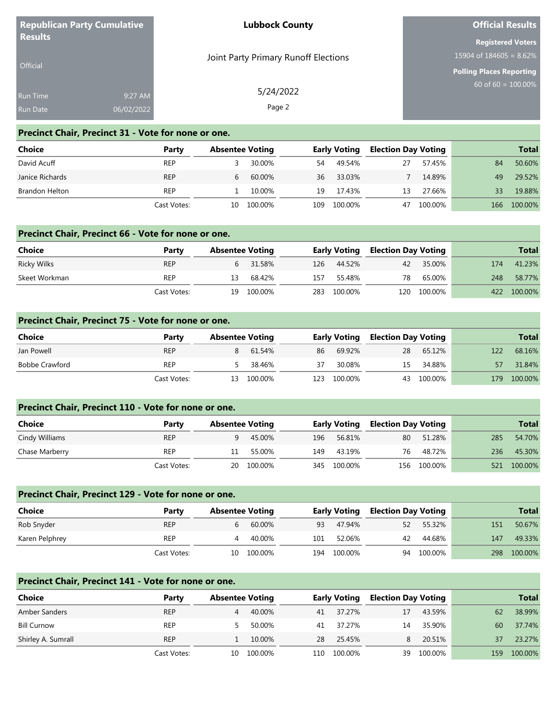|                 | <b>Republican Party Cumulative</b> | <b>Lubbock County</b>                | <b>Official Results</b>         |  |  |
|-----------------|------------------------------------|--------------------------------------|---------------------------------|--|--|
| <b>Results</b>  |                                    |                                      | <b>Registered Voters</b>        |  |  |
|                 |                                    | Joint Party Primary Runoff Elections | 15904 of $184605 = 8.62\%$      |  |  |
| <b>Official</b> |                                    |                                      | <b>Polling Places Reporting</b> |  |  |
| <b>Run Time</b> | 9:27 AM                            | 5/24/2022                            | $60$ of 60 = 100.00%            |  |  |
| <b>Run Date</b> | 06/02/2022                         | Page 2                               |                                 |  |  |

#### **Precinct Chair, Precinct 31 - Vote for none or one.**

| Choice          | Party       | <b>Absentee Voting</b> |         |     | <b>Early Voting</b> | <b>Election Day Voting</b> |         |     | <b>Total</b> |
|-----------------|-------------|------------------------|---------|-----|---------------------|----------------------------|---------|-----|--------------|
| David Acuff     | <b>REP</b>  |                        | 30.00%  | 54  | 49.54%              | 27                         | 57.45%  | 84  | 50.60%       |
| Janice Richards | <b>REP</b>  | b                      | 60.00%  | 36  | 33.03%              |                            | 14.89%  | 49  | 29.52%       |
| Brandon Helton  | <b>REP</b>  |                        | 10.00%  | 19  | 17.43%              | 13                         | 27.66%  | 33  | 19.88%       |
|                 | Cast Votes: | 10                     | 100.00% | 109 | 100.00%             | 47                         | 100.00% | 166 | 100.00%      |

# **Precinct Chair, Precinct 66 - Vote for none or one.**

| Choice        | Party       | <b>Absentee Voting</b> |            |      | <b>Early Voting Election Day Voting</b> |    |             |     | <b>Total</b> |
|---------------|-------------|------------------------|------------|------|-----------------------------------------|----|-------------|-----|--------------|
| Ricky Wilks   | <b>REP</b>  |                        | 31.58%     | 126  | 44.52%                                  | 42 | 35.00%      | 174 | 41.23%       |
| Skeet Workman | REP         | 13                     | 68.42%     | 157  | 55.48%                                  | 78 | 65.00%      | 248 | 58.77%       |
|               | Cast Votes: |                        | 19 100.00% | 283. | 100.00%                                 |    | 120 100.00% | 422 | 100.00%      |

## **Precinct Chair, Precinct 75 - Vote for none or one.**

| <b>Choice</b>         | Party       | <b>Absentee Voting</b> |            | <b>Early Voting</b> |             | <b>Election Day Voting</b> |            |     | <b>Total</b> |
|-----------------------|-------------|------------------------|------------|---------------------|-------------|----------------------------|------------|-----|--------------|
| Jan Powell            | <b>REP</b>  |                        | 61.54%     | 86                  | 69.92%      | 28                         | 65.12%     | 122 | 68.16%       |
| <b>Bobbe Crawford</b> | <b>REP</b>  |                        | 38.46%     | 37                  | 30.08%      | 15                         | 34.88%     |     | 31.84%       |
|                       | Cast Votes: |                        | 13 100.00% |                     | 123 100.00% |                            | 43 100.00% | 179 | 100.00%      |

#### **Precinct Chair, Precinct 110 - Vote for none or one.**

| Choice         | Party       | <b>Absentee Voting</b> |            |     | <b>Early Voting Election Day Voting</b> |    |             |     | Total   |
|----------------|-------------|------------------------|------------|-----|-----------------------------------------|----|-------------|-----|---------|
| Cindy Williams | <b>REP</b>  |                        | 45.00%     | 196 | 56.81%                                  | 80 | 51.28%      | 285 | 54.70%  |
| Chase Marberry | <b>REP</b>  | 11                     | 55.00%     | 149 | 43.19%                                  | 76 | 48.72%      | 236 | 45.30%  |
|                | Cast Votes: |                        | 20 100.00% |     | 345 100.00%                             |    | 156 100.00% | 521 | 100.00% |

#### **Precinct Chair, Precinct 129 - Vote for none or one.**

| Choice         | Party       | <b>Absentee Voting</b> |         | <b>Early Voting</b> |         | <b>Election Day Voting</b> |         | <b>Total</b> |         |
|----------------|-------------|------------------------|---------|---------------------|---------|----------------------------|---------|--------------|---------|
| Rob Snyder     | <b>REP</b>  |                        | 60.00%  | 93                  | 47.94%  | 52                         | 55.32%  | 151          | 50.67%  |
| Karen Pelphrey | <b>REP</b>  |                        | 40.00%  | 101                 | 52.06%  | 42                         | 44.68%  | 147          | 49.33%  |
|                | Cast Votes: | 10.                    | 100.00% | 194                 | 100.00% | 94                         | 100.00% | 298          | 100.00% |

| Precinct Chair, Precinct 141 - Vote for none or one. |             |                        |         |      |                     |    |                            |     |              |  |
|------------------------------------------------------|-------------|------------------------|---------|------|---------------------|----|----------------------------|-----|--------------|--|
| <b>Choice</b>                                        | Party       | <b>Absentee Voting</b> |         |      | <b>Early Voting</b> |    | <b>Election Day Voting</b> |     | <b>Total</b> |  |
| Amber Sanders                                        | <b>REP</b>  | 4                      | 40.00%  | 41   | 37.27%              | 17 | 43.59%                     | 62  | 38.99%       |  |
| <b>Bill Curnow</b>                                   | <b>REP</b>  | ь.                     | 50.00%  | 41   | 37.27%              | 14 | 35.90%                     | 60  | 37.74%       |  |
| Shirley A. Sumrall                                   | <b>REP</b>  |                        | 10.00%  | 28   | 25.45%              | 8. | 20.51%                     | 37  | 23.27%       |  |
|                                                      | Cast Votes: | 10.                    | 100.00% | 110. | 100.00%             | 39 | 100.00%                    | 159 | 100.00%      |  |